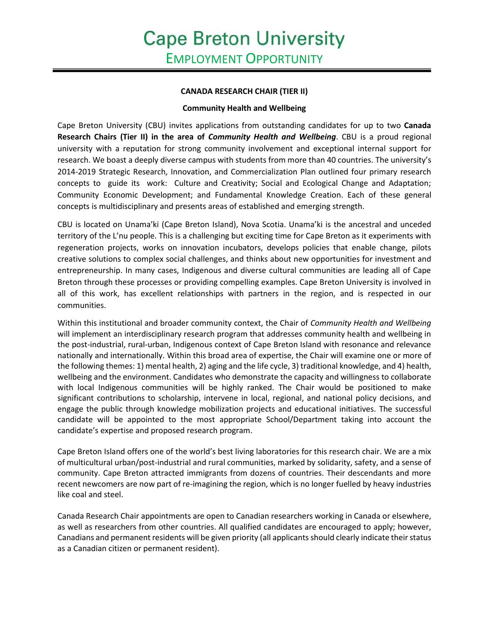## **CANADA RESEARCH CHAIR (TIER II)**

## **Community Health and Wellbeing**

Cape Breton University (CBU) invites applications from outstanding candidates for up to two **Canada Research Chairs (Tier II) in the area of** *Community Health and Wellbeing*. CBU is a proud regional university with a reputation for strong community involvement and exceptional internal support for research. We boast a deeply diverse campus with students from more than 40 countries. The university's 2014-2019 Strategic Research, Innovation, and Commercialization Plan outlined four primary research concepts to guide its work: Culture and Creativity; Social and Ecological Change and Adaptation; Community Economic Development; and Fundamental Knowledge Creation. Each of these general concepts is multidisciplinary and presents areas of established and emerging strength.

CBU is located on Unama'ki (Cape Breton Island), Nova Scotia. Unama'ki is the ancestral and unceded territory of the L'nu people. This is a challenging but exciting time for Cape Breton as it experiments with regeneration projects, works on innovation incubators, develops policies that enable change, pilots creative solutions to complex social challenges, and thinks about new opportunities for investment and entrepreneurship. In many cases, Indigenous and diverse cultural communities are leading all of Cape Breton through these processes or providing compelling examples. Cape Breton University is involved in all of this work, has excellent relationships with partners in the region, and is respected in our communities.

Within this institutional and broader community context, the Chair of *Community Health and Wellbeing* will implement an interdisciplinary research program that addresses community health and wellbeing in the post-industrial, rural-urban, Indigenous context of Cape Breton Island with resonance and relevance nationally and internationally. Within this broad area of expertise, the Chair will examine one or more of the following themes: 1) mental health, 2) aging and the life cycle, 3) traditional knowledge, and 4) health, wellbeing and the environment. Candidates who demonstrate the capacity and willingness to collaborate with local Indigenous communities will be highly ranked. The Chair would be positioned to make significant contributions to scholarship, intervene in local, regional, and national policy decisions, and engage the public through knowledge mobilization projects and educational initiatives. The successful candidate will be appointed to the most appropriate School/Department taking into account the candidate's expertise and proposed research program.

Cape Breton Island offers one of the world's best living laboratories for this research chair. We are a mix of multicultural urban/post-industrial and rural communities, marked by solidarity, safety, and a sense of community. Cape Breton attracted immigrants from dozens of countries. Their descendants and more recent newcomers are now part of re-imagining the region, which is no longer fuelled by heavy industries like coal and steel.

Canada Research Chair appointments are open to Canadian researchers working in Canada or elsewhere, as well as researchers from other countries. All qualified candidates are encouraged to apply; however, Canadians and permanent residents will be given priority (all applicants should clearly indicate their status as a Canadian citizen or permanent resident).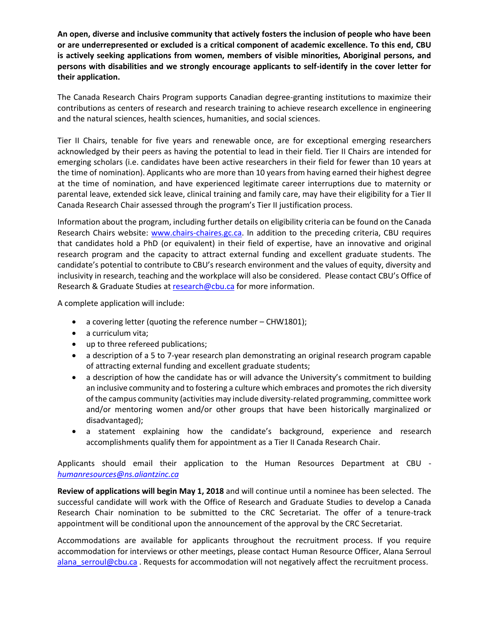**An open, diverse and inclusive community that actively fosters the inclusion of people who have been or are underrepresented or excluded is a critical component of academic excellence. To this end, CBU is actively seeking applications from women, members of visible minorities, Aboriginal persons, and persons with disabilities and we strongly encourage applicants to self-identify in the cover letter for their application.** 

The Canada Research Chairs Program supports Canadian degree-granting institutions to maximize their contributions as centers of research and research training to achieve research excellence in engineering and the natural sciences, health sciences, humanities, and social sciences.

Tier II Chairs, tenable for five years and renewable once, are for exceptional emerging researchers acknowledged by their peers as having the potential to lead in their field. Tier II Chairs are intended for emerging scholars (i.e. candidates have been active researchers in their field for fewer than 10 years at the time of nomination). Applicants who are more than 10 years from having earned their highest degree at the time of nomination, and have experienced legitimate career interruptions due to maternity or parental leave, extended sick leave, clinical training and family care, may have their eligibility for a Tier II Canada Research Chair assessed through the program's Tier II justification process.

Information about the program, including further details on eligibility criteria can be found on the Canada Research Chairs website: [www.chairs-chaires.gc.ca.](http://www.chairs-chaires.gc.ca/) In addition to the preceding criteria, CBU requires that candidates hold a PhD (or equivalent) in their field of expertise, have an innovative and original research program and the capacity to attract external funding and excellent graduate students. The candidate's potential to contribute to CBU's research environment and the values of equity, diversity and inclusivity in research, teaching and the workplace will also be considered. Please contact CBU's Office of Research & Graduate Studies at [research@cbu.ca](mailto:research@cbu.ca) for more information.

A complete application will include:

- a covering letter (quoting the reference number CHW1801);
- a curriculum vita;
- up to three refereed publications;
- a description of a 5 to 7-year research plan demonstrating an original research program capable of attracting external funding and excellent graduate students;
- a description of how the candidate has or will advance the University's commitment to building an inclusive community and to fostering a culture which embraces and promotes the rich diversity of the campus community (activities may include diversity‐related programming, committee work and/or mentoring women and/or other groups that have been historically marginalized or disadvantaged);
- a statement explaining how the candidate's background, experience and research accomplishments qualify them for appointment as a Tier II Canada Research Chair.

Applicants should email their application to the Human Resources Department at CBU *[humanresources@ns.aliantzinc.ca](mailto:humanresources@ns.aliantzinc.ca)*

**Review of applications will begin May 1, 2018** and will continue until a nominee has been selected. The successful candidate will work with the Office of Research and Graduate Studies to develop a Canada Research Chair nomination to be submitted to the CRC Secretariat. The offer of a tenure-track appointment will be conditional upon the announcement of the approval by the CRC Secretariat.

Accommodations are available for applicants throughout the recruitment process. If you require accommodation for interviews or other meetings, please contact Human Resource Officer, Alana Serroul [alana\\_serroul@cbu.ca](mailto:alana_serroul@cbu.ca) . Requests for accommodation will not negatively affect the recruitment process.